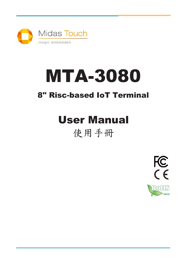

# MTA-3080

### 8" Risc-based IoT Terminal

# User Manual

### 使用手冊

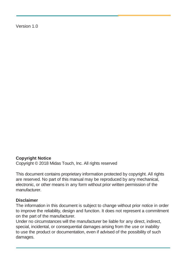Version 1.0

#### **Copyright Notice**

Copyright © 2018 Midas Touch, Inc. All rights reserved

This document contains proprietary information protected by copyright. All rights are reserved. No part of this manual may be reproduced by any mechanical, electronic, or other means in any form without prior written permission of the manufacturer.

#### **Disclaimer**

The information in this document is subject to change without prior notice in order to improve the reliability, design and function. It does not represent a commitment on the part of the manufacturer.

Under no circumstances will the manufacturer be liable for any direct, indirect, special, incidental, or consequential damages arising from the use or inability to use the product or documentation, even if advised of the possibility of such damages.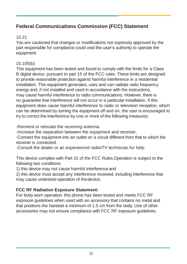#### **Federal Communications Commission (FCC) Statement**

#### 15.21

You are cautioned that changes or modifications not expressly approved by the part responsible for compliance could void the user's authority to operate the equipment.

#### 15.105(b)

This equipment has been tested and found to comply with the limits for a Class B digital device, pursuant to part 15 of the FCC rules. These limits are designed to provide reasonable protection against harmful interference in a residential installation. This equipment generates, uses and can radiate radio frequency energy and, if not installed and used in accordance with the instructions, may cause harmful interference to radio communications. However, there is no guarantee that interference will not occur in a particular installation. If this equipment does cause harmful interference to radio or television reception, which can be determined by turning the equipment off and on, the user is encouraged to try to correct the interference by one or more of the following measures:

-Reorient or relocate the receiving antenna.

-Increase the separation between the equipment and receiver.

-Connect the equipment into an outlet on a circuit different from that to which the receiver is connected.

-Consult the dealer or an experienced radio/TV technician for help.

This device complies with Part 15 of the FCC Rules.Operation is subject to the following two conditions:

1) this device may not cause harmful interference and

2) this device must accept any interference received, including interference that may cause undesired operation of thedevice.

#### **FCC RF Radiation Exposure Statement:**

For body worn operation, this phone has been tested and meets FCC RF exposure guidelines when used with an accessory that contains no metal and that positions the handset a minimum of 1.5 cm from the body. Use of other accessories may not ensure compliance with FCC RF exposure guidelines.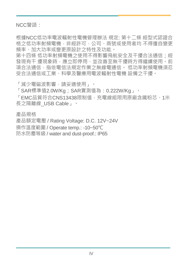NCC警語:

根據NCC低功率電波輻射性電機管理辦法 規定: 第十二條 經型式認證合 格之低功率射頻電機, 非經許可, 公司、商號或使用者均 不得擅自變更 頻率、加大功率或變更原設計之特性及功能。

第十四條 低功率射頻電機之使用不得影響飛航安全及干擾合法通信;經 發現有干 擾現象時,應立即停用,並改善至無干擾時方得繼續使用。前 項合法通信,指依電信法規定作業之無線電通信。 低功率射頻電機須忍 受合法通信或工業、科學及醫療用電波輻射性電機 設備之干擾。

「減少電磁波影響,請妥適使用」。

「SAR標準值2.0W/Ka;SAR實測值為:0.222W/Ka」。

「EMC品質符合CNS13438限制值,充電線組限用原廠含鐵粉芯、1米 長之隔離線\_USB Cable」。

產品規格

產品額定電壓 / Rating Voltage: D.C. 12V~24V

操作溫度範圍 / Operate temp.: -10~50℃

防水防塵等級 / water and dust-proof.: IP65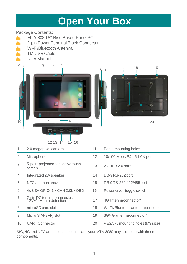### **Open Your Box**

#### Package Contents:

- MTA-3080 8" Risc-Based Panel PC
- 2-pin Power Terminal Block Connector<br>
Wi-Fi/Bluetooth Antenna
- Wi-Fi/Bluetooth Antenna
- **1M USB Cable**<br>**44 User Manual**
- User Manual





| 1              | 2.0 megapixel camera                                  | 11 | Panel mounting holes              |
|----------------|-------------------------------------------------------|----|-----------------------------------|
| $\overline{2}$ | Microphone                                            | 12 | 10/100 Mbps RJ-45 LAN port        |
| 3              | 5-pointprojected capacitive touch<br>screen           | 13 | 2 x USB 2.0 ports                 |
| $\overline{4}$ | Integrated 2W speaker                                 | 14 | DB-9RS-232 port                   |
| 5              | NFC antenna area*                                     | 15 | DB-9RS-232/422/485 port           |
| 6              | 4x 3.3V GPIO, 1 x CAN 2.0b / OBD-II                   | 16 | Power on/off toggle switch        |
| 7              | 2-pin DC terminal connector,<br>12V~24Vauto-detection | 17 | 4G antenna connector*             |
| 8              | microSD card slot                                     | 18 | Wi-Fi/Bluetooth antenna connector |
| 9              | Micro SIM (3FF) slot                                  | 19 | 3G/4G antenna connector*          |
| 10             | <b>UART Connector</b>                                 | 20 | VESA 75 mounting holes (M3 size)  |
|                |                                                       |    |                                   |

\*3G, 4G and NFC are optional modules and your MTA-3080 may not come with these components.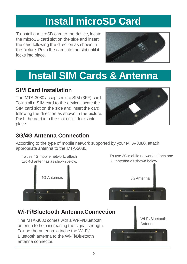# **Install microSD Card**

To install a microSD card to the device, locate the microSD card slot on the side and insert the card following the direction as shown in the picture. Push the card into the slot until it locks into place.



## **Install SIM Cards & Antenna**

#### **SIM Card Installation**

The MTA-3080 accepts micro SIM (3FF) card. To install a SIM card to the device, locate the SIM card slot on the side and insert the card following the direction as shown in the picture. Push the card into the slot until it locks into place.



### **3G/4G Antenna Connection**

According to the type of mobile network supported by your MTA-3080, attach appropriate antenna to the MTA-3080.

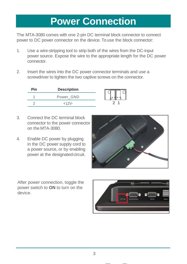### **Power Connection**

The MTA-3080 comes with one 2-pin DC terminal block connector to connect power to DC power connector on the device. To use the block connector:

- 1. Use a wire-stripping tool to strip both of the wires from the DC-input power source. Expose the wire to the appropriate length for the DC power connector.
- 2. Insert the wires into the DC power connector terminals and use a screwdriver to tighten the two captive screws on the connector.

| ית. | <b>Description</b> |  |
|-----|--------------------|--|
|     | Power GND          |  |
|     |                    |  |

- 3. Connect the DC terminal block connector to the power connector on the MTA-3080.
- 4. Enable DC power by plugging in the DC power supply cord to a power source, or by enabling power at the designated circuit.



After power connection, toggle the power switch to **ON** to turn on the device.

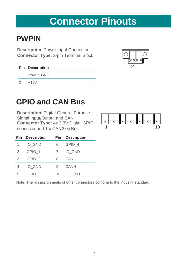### **Connector Pinouts**

### **PWPIN**

**Description**: Power Input Connector **Connector Type:** 2-pin Terminal Block

|               | <b>Pin Description</b> |
|---------------|------------------------|
|               | 1 Power GND            |
| $\mathcal{D}$ | $+12V -$               |



### **GPIO and CAN Bus**

**Description:** Digital General Purpose Signal Input/Output and CAN **Connector Type:** 4x 3.3V Digital GPIO Experiment Digital CON<br>
Connector Type: 4x 3.3V Digital GPIO<br>
Connector and 1 x CAN2.0b Bus 1



| Pin | <b>Description</b> | Pin | <b>Description</b> |  |
|-----|--------------------|-----|--------------------|--|
| 1   | IO GND             | հ   | GPIO 4             |  |
| 2   | GPIO 1             |     | IO GND             |  |
| 3   | GPIO <sub>2</sub>  | 8   | CANL               |  |
| 4   | IO GND             | g   | CANH               |  |
| 5   | GPIO <sub>3</sub>  | 10  | IO GND             |  |

Note: The pin assignments of other connectors conform to the industry standard.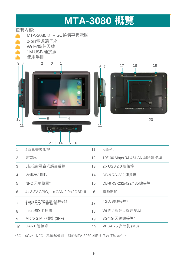# **MTA-3080 概覽**

#### 包裝內容:



|                | 2百萬畫素相機                             | 11 | 安裝孔.                        |
|----------------|-------------------------------------|----|-----------------------------|
| $\mathcal{P}$  | 麥克風                                 | 12 | 10/100 Mbps RJ-45 LAN 網路連接埠 |
| 3              | 5點投射電容式觸控螢幕                         | 13 | 2 x USB 2.0 連接埠             |
| $\overline{4}$ | 內建2W喇叭                              | 14 | DB-9RS-232 連接埠              |
| 5              | NFC 天線位置*                           | 15 | DB-9RS-232/422/485連接埠       |
| 6              | 4x 3.3V GPIO, 1 x CAN 2.0b / OBD-II | 16 | 電源開關                        |
| 7              | 3-RV2 926 電温端看建接器                   | 17 | 4G天線連接埠*                    |
| 8              | microSD 卡插槽                         | 18 | Wi-Fi / 藍芽天線連接埠             |
| 9              | Micro SIM卡插槽 (3FF)                  | 19 | 3G/4G 天線連接埠*                |
| 10             | UART 連接埠                            | 20 | VESA 75 安裝孔 (M3)            |

\*3G、4G及 NFC 為選配模組,您的MTA-3080可能不包含這些元件。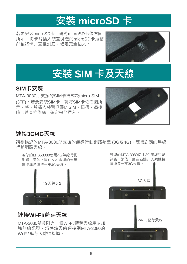# **安裝 microSD 卡**

若要安裝microSD卡,請將microSD卡依右圖 所示,將卡片插入裝置側邊的microSD卡插槽, 然後將卡片直推到底,確定完全插入。



# **安裝 SIM 卡及天線**

#### **SIM卡安裝**

MTA-3080所支援的SIM卡格式為micro SIM (3FF)。若要安裝SIM卡,請將SIM卡依右圖所 示,將卡片插入裝置側邊的SIM卡插槽,然後 將卡片直推到底,確定完全插入。



#### **連接3G/4G天線**

請根據您的MTA-3080所支援的無線行動網路類型 (3G或4G), 連接對應的無線 行動網路天線。



#### **連接Wi-Fi/藍芽天線**

MTA-3080隨貨附有一個Wi-Fi/藍芽天線用以加 強無線訊號,請將該天線連接到MTA-3080的 Wi-Fi/ 藍芽天線連接埠。

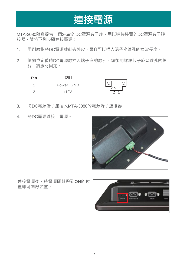### **連接電源**

MTA-3080隨貨提供一個2-pin的DC電源端子座,用以連接裝置的DC電源端子連 接器,請依下列步驟連接電源:

- 1. 用剝線鉗將DC電源線剝去外皮,露ft可以插入端子座線孔的適當長度。
- 2. 依腳位定義將DC電源線插入端子座的線孔,然後用螺絲起子旋緊線孔的螺 絲,將線材固定。



- 3. 將DC電源端子座插入MTA-3080的電源端子連接器。
- 4. 將DC電源線接上電源。



連接電源後,將電源開關撥到**ON**的位 置即可開啟裝置。